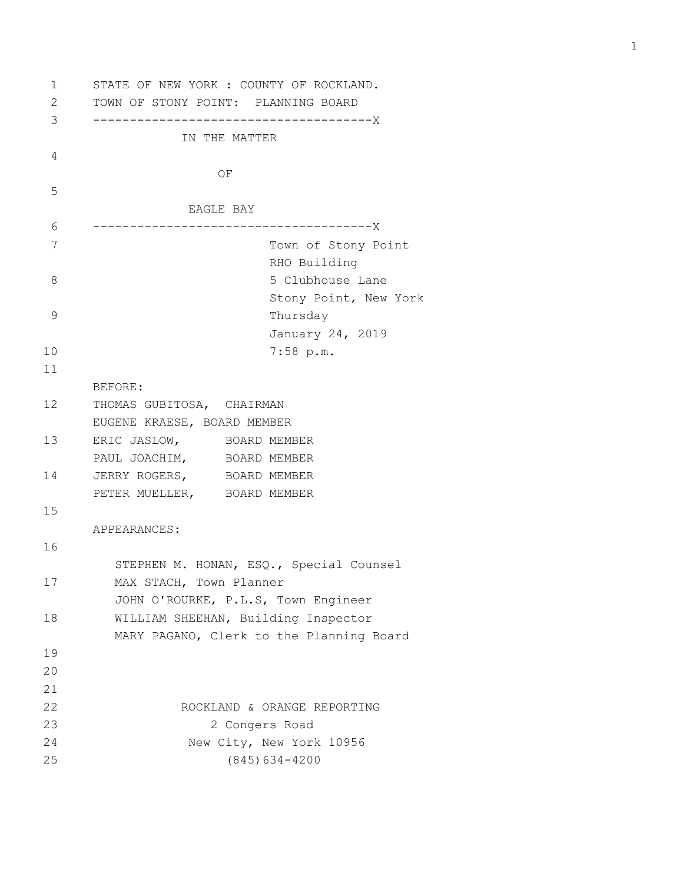```
1 STATE OF NEW YORK : COUNTY OF ROCKLAND.
2 TOWN OF STONY POINT: PLANNING BOARD
3 --------------------------------------X
               IN THE MATTER
4 
   OF OF
5 
                EAGLE BAY
6 --------------------------------------X
7 Town of Stony Point
                       RHO Building
8 5 Clubhouse Lane
                        Stony Point, New York
9 Thursday
                        January 24, 2019
10 7:58 p.m.
11 
      BEFORE:
12 THOMAS GUBITOSA, CHAIRMAN
      EUGENE KRAESE, BOARD MEMBER
13 ERIC JASLOW, BOARD MEMBER
     PAUL JOACHIM, BOARD MEMBER
14 JERRY ROGERS, BOARD MEMBER
      PETER MUELLER, BOARD MEMBER
15 
      APPEARANCES:
16 
        STEPHEN M. HONAN, ESQ., Special Counsel
17 MAX STACH, Town Planner
        JOHN O'ROURKE, P.L.S, Town Engineer
18 WILLIAM SHEEHAN, Building Inspector
        MARY PAGANO, Clerk to the Planning Board
19 
20 
21 
22 ROCKLAND & ORANGE REPORTING
23 2 Congers Road
24 New City, New York 10956
25 (845)634-4200
```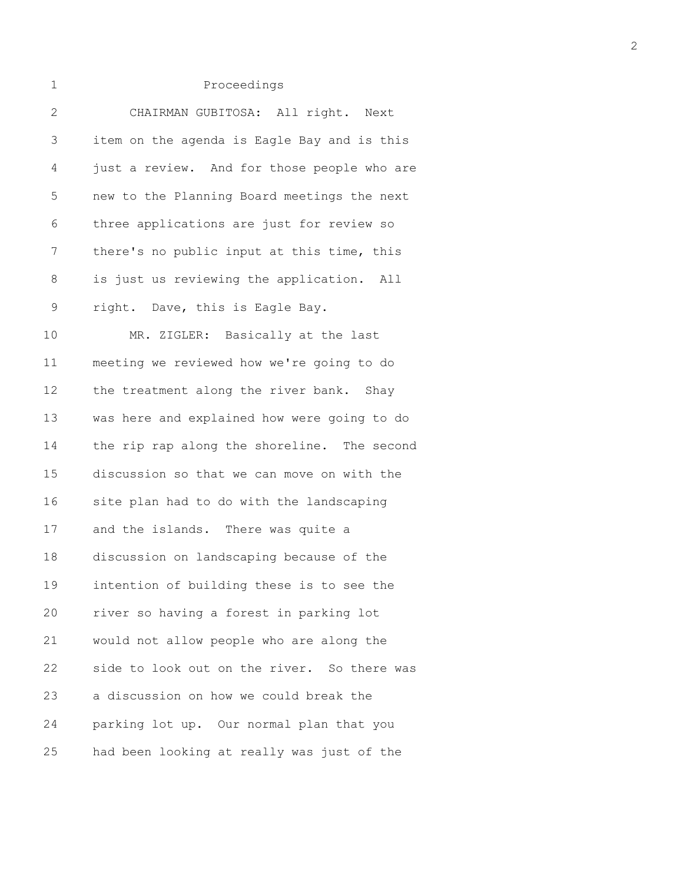|  |  | . . |  |
|--|--|-----|--|

| $\overline{2}$ | CHAIRMAN GUBITOSA: All right. Next          |
|----------------|---------------------------------------------|
| 3              | item on the agenda is Eagle Bay and is this |
| 4              | just a review. And for those people who are |
| 5              | new to the Planning Board meetings the next |
| 6              | three applications are just for review so   |
| 7              | there's no public input at this time, this  |
| 8              | is just us reviewing the application. All   |
| 9              | right. Dave, this is Eagle Bay.             |
| 10             | MR. ZIGLER: Basically at the last           |
| 11             | meeting we reviewed how we're going to do   |
| 12             | the treatment along the river bank. Shay    |
| 13             | was here and explained how were going to do |
| 14             | the rip rap along the shoreline. The second |
| 15             | discussion so that we can move on with the  |
| 16             | site plan had to do with the landscaping    |
| 17             | and the islands. There was quite a          |
| 18             | discussion on landscaping because of the    |
| 19             | intention of building these is to see the   |
| 20             | river so having a forest in parking lot     |
| 21             | would not allow people who are along the    |
| 22             | side to look out on the river. So there was |
| 23             | a discussion on how we could break the      |
| 24             | parking lot up. Our normal plan that you    |
| 25             | had been looking at really was just of the  |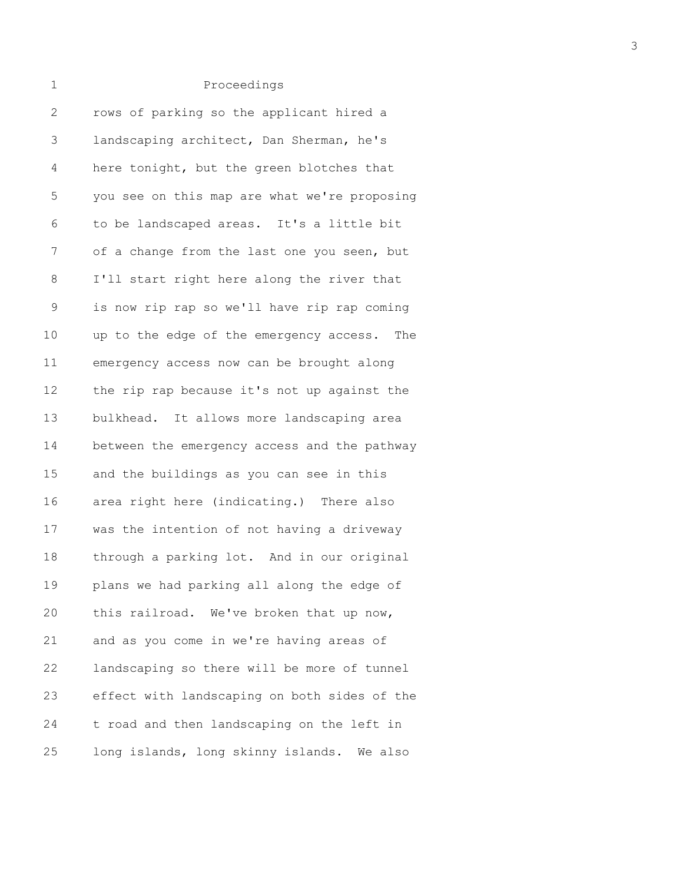| 2           | rows of parking so the applicant hired a     |
|-------------|----------------------------------------------|
| 3           | landscaping architect, Dan Sherman, he's     |
| 4           | here tonight, but the green blotches that    |
| 5           | you see on this map are what we're proposing |
| 6           | to be landscaped areas. It's a little bit    |
| 7           | of a change from the last one you seen, but  |
| 8           | I'll start right here along the river that   |
| $\mathsf 9$ | is now rip rap so we'll have rip rap coming  |
| 10          | up to the edge of the emergency access. The  |
| 11          | emergency access now can be brought along    |
| 12          | the rip rap because it's not up against the  |
| 13          | bulkhead. It allows more landscaping area    |
| 14          | between the emergency access and the pathway |
| 15          | and the buildings as you can see in this     |
| 16          | area right here (indicating.) There also     |
| 17          | was the intention of not having a driveway   |
| 18          | through a parking lot. And in our original   |
| 19          | plans we had parking all along the edge of   |
| 20          | this railroad. We've broken that up now,     |
| 21          | and as you come in we're having areas of     |
| 22          | landscaping so there will be more of tunnel  |
| 23          | effect with landscaping on both sides of the |
| 24          | t road and then landscaping on the left in   |
| 25          | long islands, long skinny islands. We also   |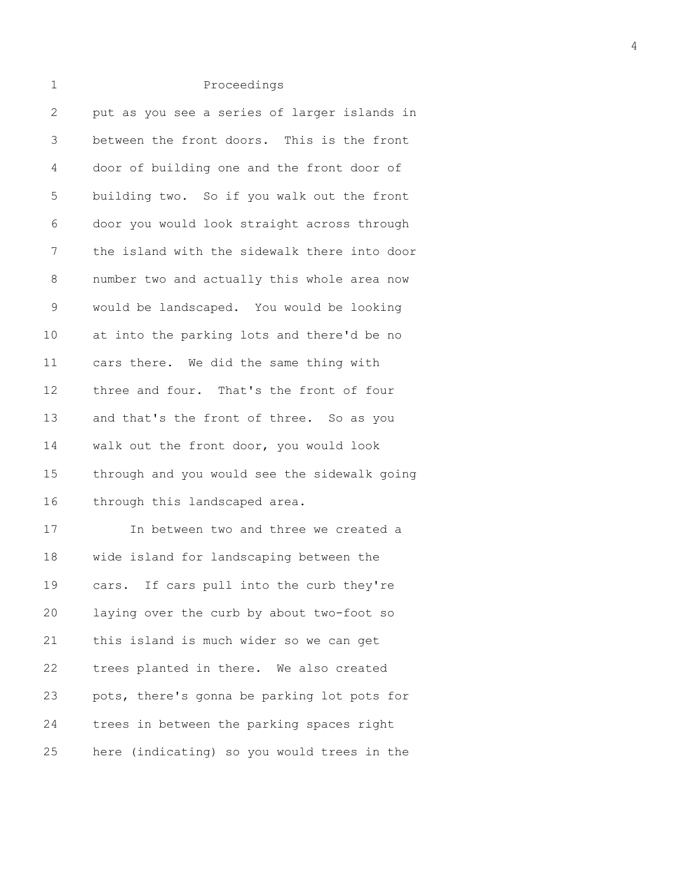| $\mathbf{2}$ | put as you see a series of larger islands in |
|--------------|----------------------------------------------|
| 3            | between the front doors. This is the front   |
| 4            | door of building one and the front door of   |
| 5            | building two. So if you walk out the front   |
| 6            | door you would look straight across through  |
| 7            | the island with the sidewalk there into door |
| 8            | number two and actually this whole area now  |
| 9            | would be landscaped. You would be looking    |
| 10           | at into the parking lots and there'd be no   |
| 11           | cars there. We did the same thing with       |
| 12           | three and four. That's the front of four     |
| 13           | and that's the front of three. So as you     |
| 14           | walk out the front door, you would look      |
| 15           | through and you would see the sidewalk going |
| 16           | through this landscaped area.                |
| 17           | In between two and three we created a        |
| 18           | wide island for landscaping between the      |
| 19           | If cars pull into the curb they're<br>cars.  |
| 20           | laying over the curb by about two-foot so    |
| 21           | this island is much wider so we can get      |
| 22           | trees planted in there. We also created      |
| 23           | pots, there's gonna be parking lot pots for  |
| 24           | trees in between the parking spaces right    |
| 25           | here (indicating) so you would trees in the  |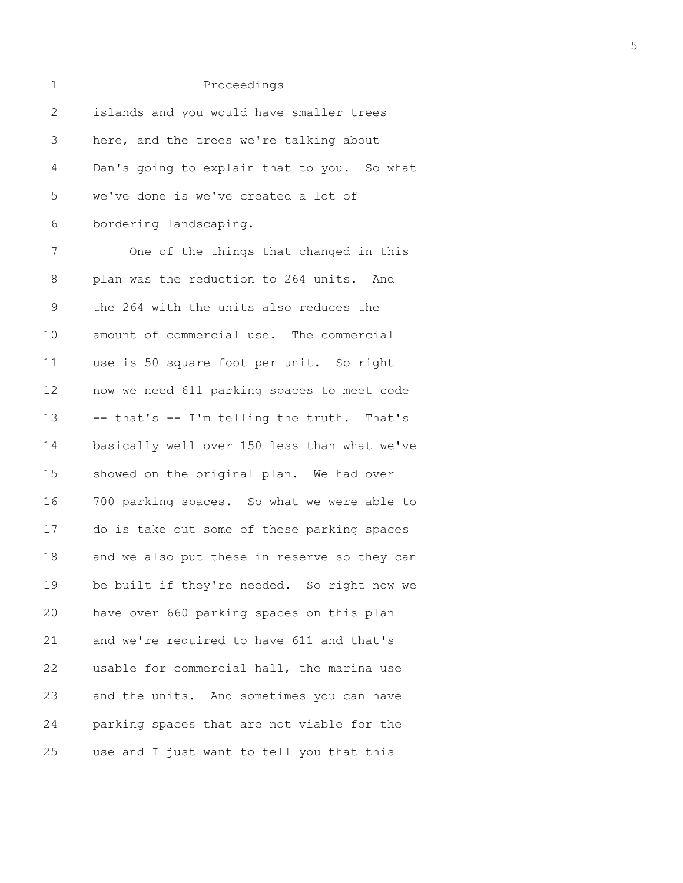| 1           | Proceedings                                  |
|-------------|----------------------------------------------|
| 2           | islands and you would have smaller trees     |
| 3           | here, and the trees we're talking about      |
| 4           | Dan's going to explain that to you. So what  |
| 5           | we've done is we've created a lot of         |
| 6           | bordering landscaping.                       |
| 7           | One of the things that changed in this       |
| 8           | plan was the reduction to 264 units. And     |
| $\mathsf 9$ | the 264 with the units also reduces the      |
| 10          | amount of commercial use. The commercial     |
| 11          | use is 50 square foot per unit. So right     |
| 12          | now we need 611 parking spaces to meet code  |
| 13          | -- that's -- I'm telling the truth. That's   |
| 14          | basically well over 150 less than what we've |
| 15          | showed on the original plan. We had over     |
| 16          | 700 parking spaces. So what we were able to  |
| 17          | do is take out some of these parking spaces  |
| 18          | and we also put these in reserve so they can |
| 19          | be built if they're needed. So right now we  |
| 20          | have over 660 parking spaces on this plan    |
| 21          | and we're required to have 611 and that's    |
| 22          | usable for commercial hall, the marina use   |
| 23          | and the units. And sometimes you can have    |
| 24          | parking spaces that are not viable for the   |
| 25          | use and I just want to tell you that this    |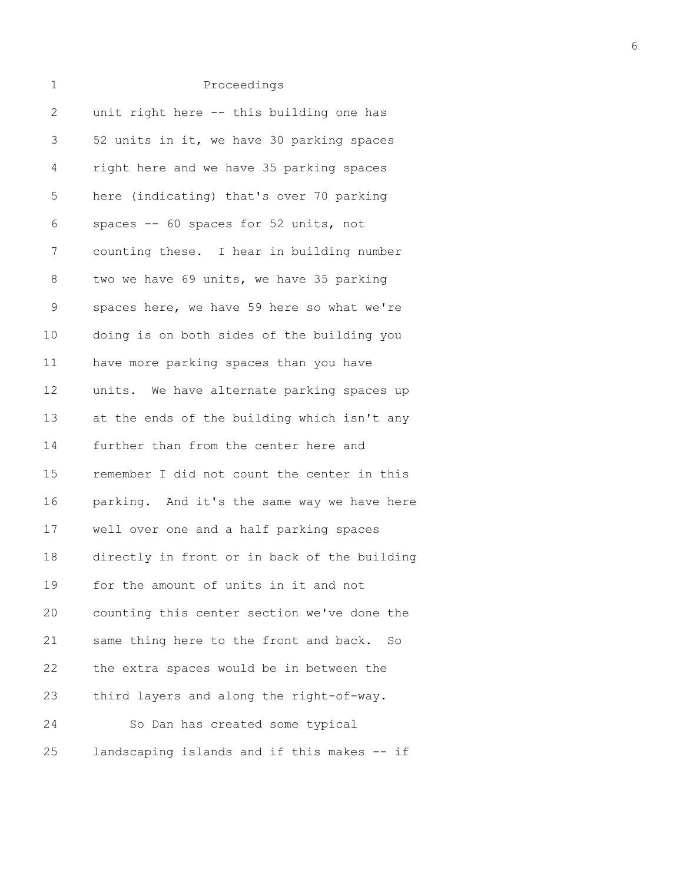| $\overline{2}$ | unit right here -- this building one has     |
|----------------|----------------------------------------------|
| 3              | 52 units in it, we have 30 parking spaces    |
| 4              | right here and we have 35 parking spaces     |
| 5              | here (indicating) that's over 70 parking     |
| 6              | spaces -- 60 spaces for 52 units, not        |
| 7              | counting these. I hear in building number    |
| 8              | two we have 69 units, we have 35 parking     |
| $\mathsf 9$    | spaces here, we have 59 here so what we're   |
| 10             | doing is on both sides of the building you   |
| 11             | have more parking spaces than you have       |
| 12             | units. We have alternate parking spaces up   |
| 13             | at the ends of the building which isn't any  |
| 14             | further than from the center here and        |
| 15             | remember I did not count the center in this  |
| 16             | parking. And it's the same way we have here  |
| 17             | well over one and a half parking spaces      |
| 18             | directly in front or in back of the building |
| 19             | for the amount of units in it and not        |
| 20             | counting this center section we've done the  |
| 21             | same thing here to the front and back.<br>So |
| 22             | the extra spaces would be in between the     |
| 23             | third layers and along the right-of-way.     |
| 24             | So Dan has created some typical              |
| 25             | landscaping islands and if this makes -- if  |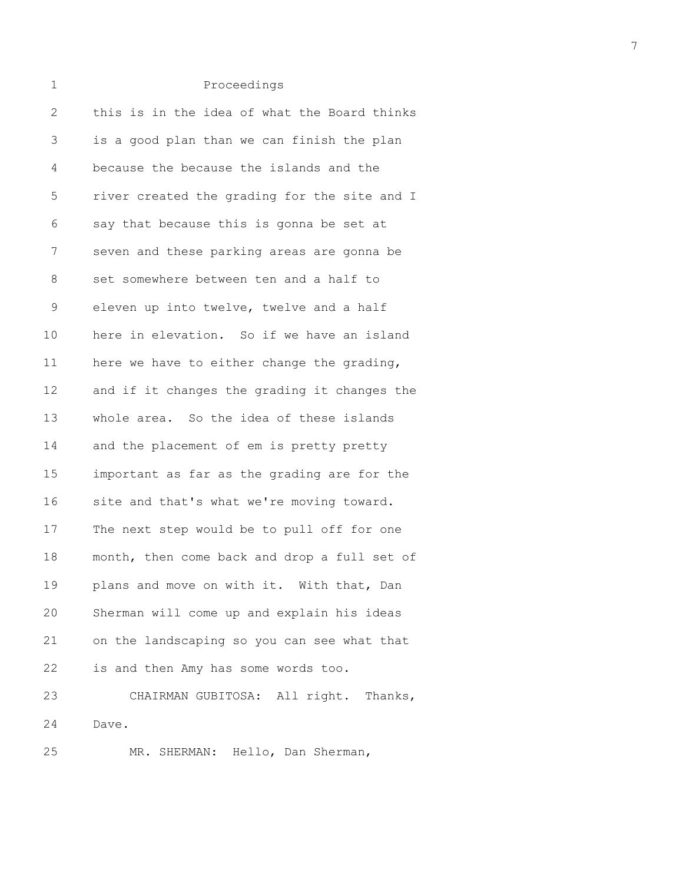| 1            | Proceedings                                  |
|--------------|----------------------------------------------|
| $\mathbf{2}$ | this is in the idea of what the Board thinks |
| 3            | is a good plan than we can finish the plan   |
| 4            | because the because the islands and the      |
| 5            | river created the grading for the site and I |
| 6            | say that because this is gonna be set at     |
| 7            | seven and these parking areas are gonna be   |
| $8\,$        | set somewhere between ten and a half to      |
| $\mathsf 9$  | eleven up into twelve, twelve and a half     |
| 10           | here in elevation. So if we have an island   |
| 11           | here we have to either change the grading,   |
| 12           | and if it changes the grading it changes the |
| 13           | whole area. So the idea of these islands     |
| 14           | and the placement of em is pretty pretty     |
| 15           | important as far as the grading are for the  |
| 16           | site and that's what we're moving toward.    |
| 17           | The next step would be to pull off for one   |
| 18           | month, then come back and drop a full set of |
| 19           | plans and move on with it. With that, Dan    |
| 20           | Sherman will come up and explain his ideas   |
| 21           | on the landscaping so you can see what that  |
| 22           | is and then Amy has some words too.          |
| 23           | CHAIRMAN GUBITOSA: All right. Thanks,        |
| 24           | Dave.                                        |
| 25           | MR. SHERMAN: Hello, Dan Sherman,             |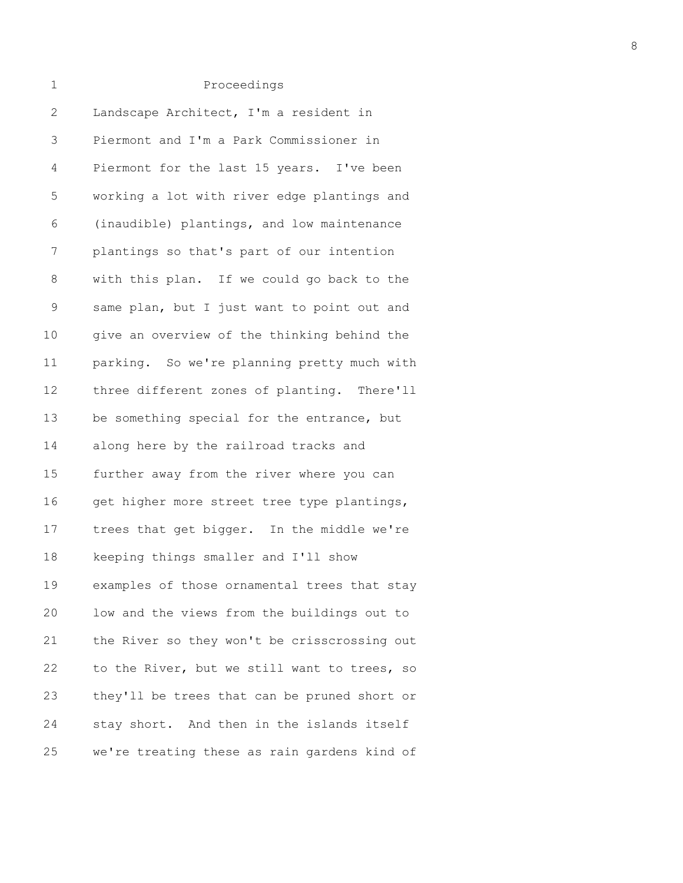| $\overline{2}$ | Landscape Architect, I'm a resident in       |
|----------------|----------------------------------------------|
| 3              | Piermont and I'm a Park Commissioner in      |
| 4              | Piermont for the last 15 years. I've been    |
| 5              | working a lot with river edge plantings and  |
| 6              | (inaudible) plantings, and low maintenance   |
| 7              | plantings so that's part of our intention    |
| 8              | with this plan. If we could go back to the   |
| $\mathsf 9$    | same plan, but I just want to point out and  |
| $10$           | give an overview of the thinking behind the  |
| 11             | parking. So we're planning pretty much with  |
| 12             | three different zones of planting. There'll  |
| 13             | be something special for the entrance, but   |
| 14             | along here by the railroad tracks and        |
| 15             | further away from the river where you can    |
| 16             | get higher more street tree type plantings,  |
| 17             | trees that get bigger. In the middle we're   |
| 18             | keeping things smaller and I'll show         |
| 19             | examples of those ornamental trees that stay |
| 20             | low and the views from the buildings out to  |
| 21             | the River so they won't be crisscrossing out |
| 22             | to the River, but we still want to trees, so |
| 23             | they'll be trees that can be pruned short or |
| 24             | stay short. And then in the islands itself   |
| 25             | we're treating these as rain gardens kind of |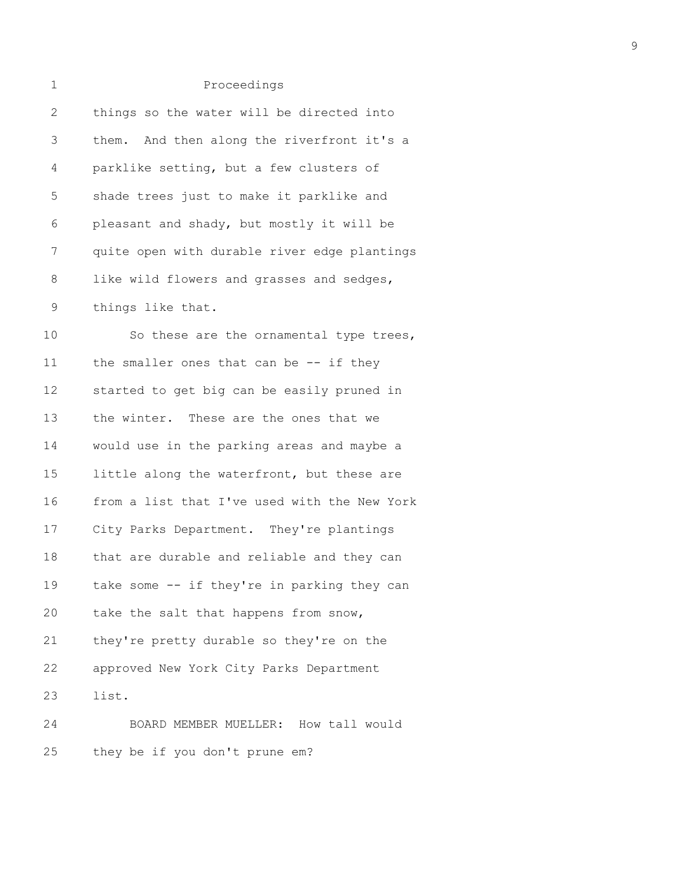| $\mathbf 1$  | Proceedings                                  |
|--------------|----------------------------------------------|
| $\mathbf{2}$ | things so the water will be directed into    |
| 3            | them. And then along the riverfront it's a   |
| 4            | parklike setting, but a few clusters of      |
| 5            | shade trees just to make it parklike and     |
| 6            | pleasant and shady, but mostly it will be    |
| 7            | quite open with durable river edge plantings |
| 8            | like wild flowers and grasses and sedges,    |
| 9            | things like that.                            |
| 10           | So these are the ornamental type trees,      |
| 11           | the smaller ones that can be $-$ if they     |
| 12           | started to get big can be easily pruned in   |
| 13           | the winter. These are the ones that we       |
| 14           | would use in the parking areas and maybe a   |
| 15           | little along the waterfront, but these are   |
| 16           | from a list that I've used with the New York |
| 17           | City Parks Department. They're plantings     |
| 18           | that are durable and reliable and they can   |
| 19           | take some -- if they're in parking they can  |
| 20           | take the salt that happens from snow,        |
| 21           | they're pretty durable so they're on the     |
| 22           | approved New York City Parks Department      |
| 23           | list.                                        |
| 24           | BOARD MEMBER MUELLER: How tall would         |
| 25           | they be if you don't prune em?               |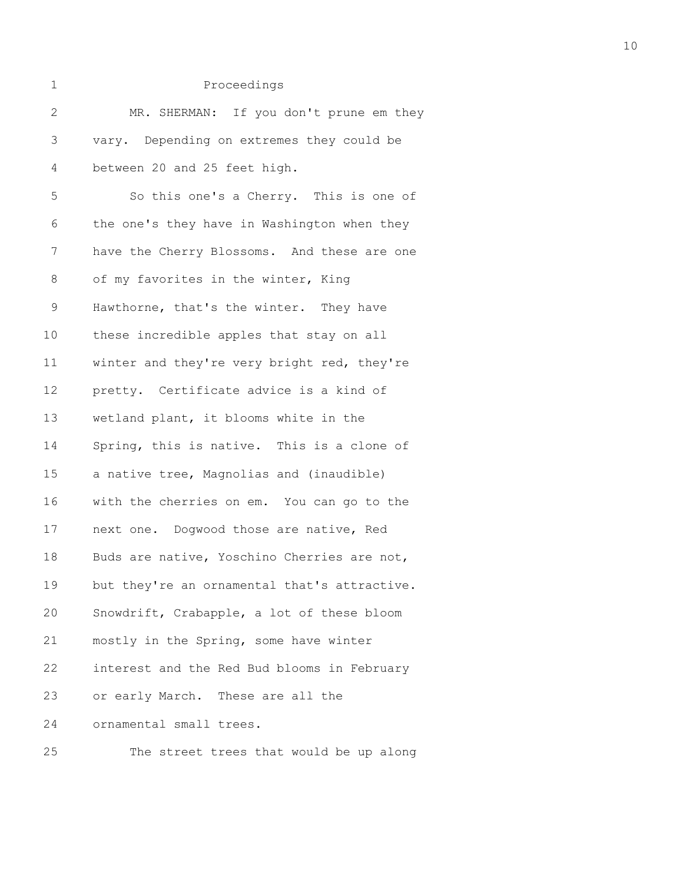| 1            | Proceedings                                  |
|--------------|----------------------------------------------|
| $\mathbf{2}$ | MR. SHERMAN: If you don't prune em they      |
| 3            | vary. Depending on extremes they could be    |
| 4            | between 20 and 25 feet high.                 |
| 5            | So this one's a Cherry. This is one of       |
| 6            | the one's they have in Washington when they  |
| 7            | have the Cherry Blossoms. And these are one  |
| 8            | of my favorites in the winter, King          |
| 9            | Hawthorne, that's the winter. They have      |
| 10           | these incredible apples that stay on all     |
| 11           | winter and they're very bright red, they're  |
| 12           | pretty. Certificate advice is a kind of      |
| 13           | wetland plant, it blooms white in the        |
| 14           | Spring, this is native. This is a clone of   |
| 15           | a native tree, Magnolias and (inaudible)     |
| 16           | with the cherries on em. You can go to the   |
| 17           | next one. Dogwood those are native, Red      |
| 18           | Buds are native, Yoschino Cherries are not,  |
| 19           | but they're an ornamental that's attractive. |
| 20           | Snowdrift, Crabapple, a lot of these bloom   |
| 21           | mostly in the Spring, some have winter       |
| 22           | interest and the Red Bud blooms in February  |
| 23           | or early March. These are all the            |
| 24           | ornamental small trees.                      |
| 25           | The street trees that would be up along      |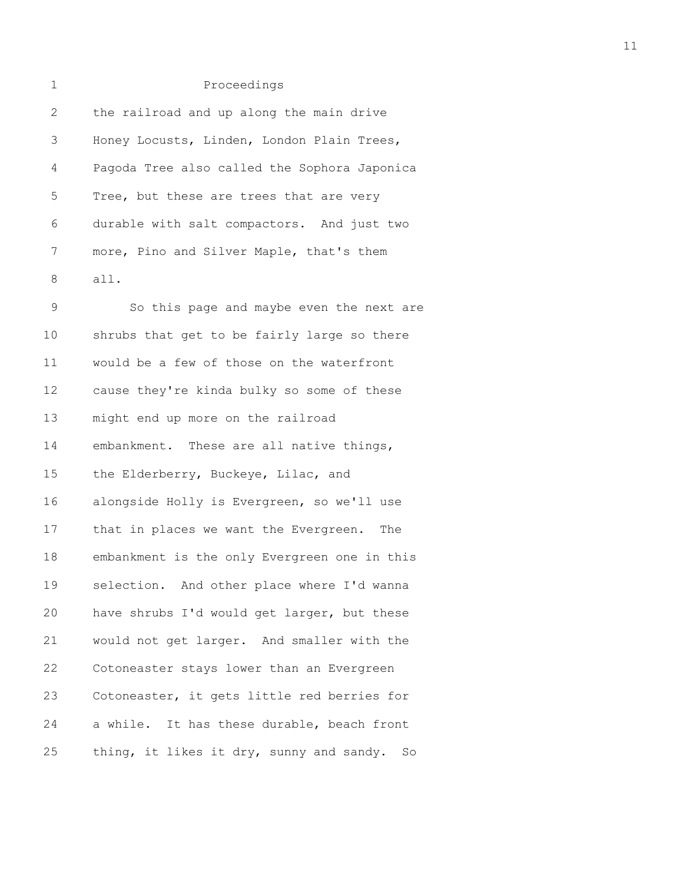| $\mathbf{1}$ | Proceedings                                  |
|--------------|----------------------------------------------|
| 2            | the railroad and up along the main drive     |
| 3            | Honey Locusts, Linden, London Plain Trees,   |
| 4            | Pagoda Tree also called the Sophora Japonica |
| 5            | Tree, but these are trees that are very      |
| 6            | durable with salt compactors. And just two   |
| 7            | more, Pino and Silver Maple, that's them     |
| 8            | all.                                         |
| 9            | So this page and maybe even the next are     |
| $1 \Omega$   | shrubs that get to be fairly large so there  |

10 shrubs that get to be fairly large so there 11 would be a few of those on the waterfront 12 cause they're kinda bulky so some of these 13 might end up more on the railroad 14 embankment. These are all native things, 15 the Elderberry, Buckeye, Lilac, and 16 alongside Holly is Evergreen, so we'll use 17 that in places we want the Evergreen. The 18 embankment is the only Evergreen one in this 19 selection. And other place where I'd wanna 20 have shrubs I'd would get larger, but these 21 would not get larger. And smaller with the 22 Cotoneaster stays lower than an Evergreen 23 Cotoneaster, it gets little red berries for 24 a while. It has these durable, beach front 25 thing, it likes it dry, sunny and sandy. So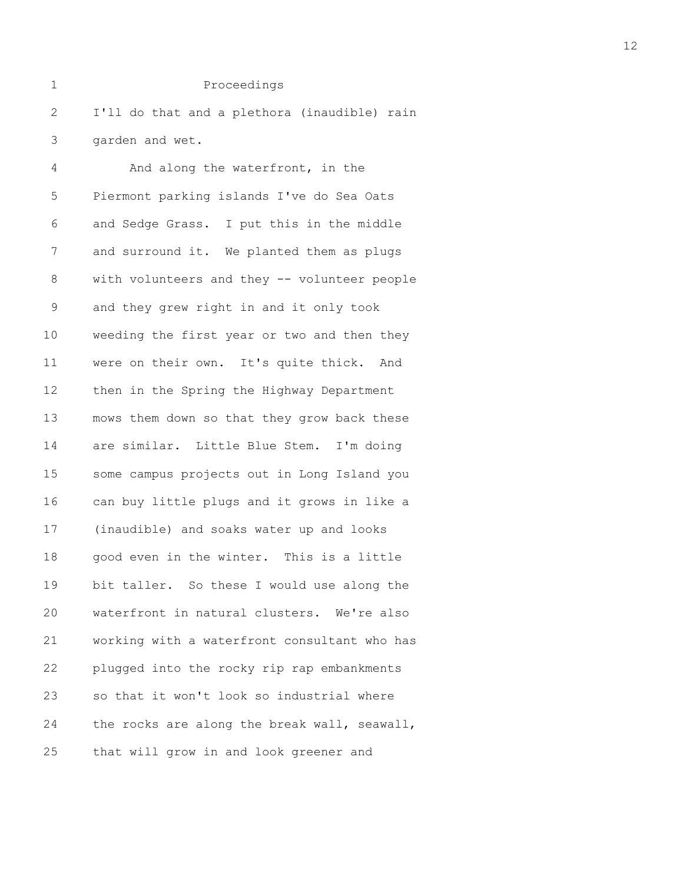2 I'll do that and a plethora (inaudible) rain 3 garden and wet.

4 And along the waterfront, in the 5 Piermont parking islands I've do Sea Oats 6 and Sedge Grass. I put this in the middle 7 and surround it. We planted them as plugs 8 with volunteers and they -- volunteer people 9 and they grew right in and it only took 10 weeding the first year or two and then they 11 were on their own. It's quite thick. And 12 then in the Spring the Highway Department 13 mows them down so that they grow back these 14 are similar. Little Blue Stem. I'm doing 15 some campus projects out in Long Island you 16 can buy little plugs and it grows in like a 17 (inaudible) and soaks water up and looks 18 good even in the winter. This is a little 19 bit taller. So these I would use along the 20 waterfront in natural clusters. We're also 21 working with a waterfront consultant who has 22 plugged into the rocky rip rap embankments 23 so that it won't look so industrial where 24 the rocks are along the break wall, seawall, 25 that will grow in and look greener and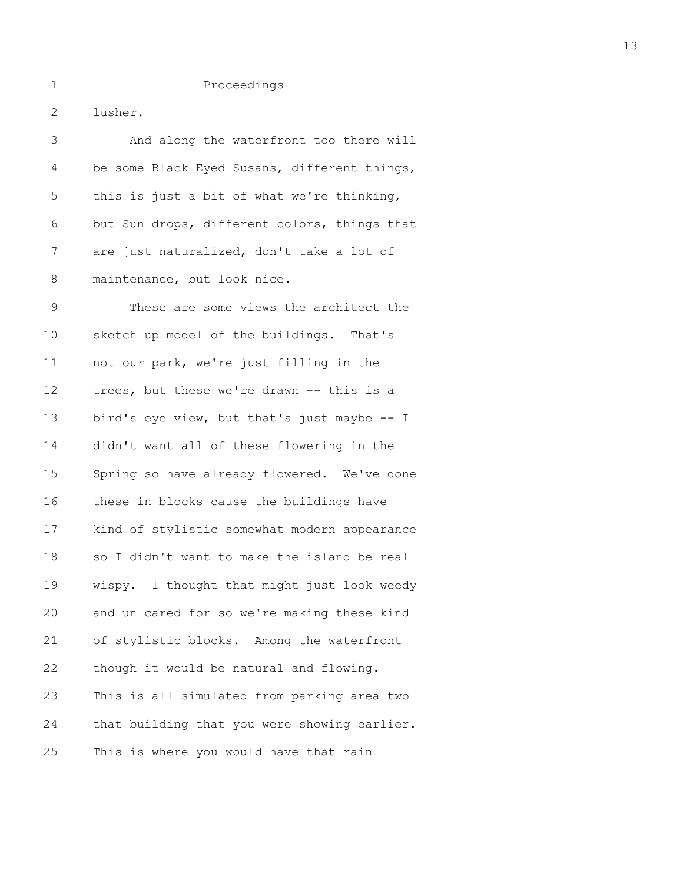2 lusher.

| 3           | And along the waterfront too there will      |
|-------------|----------------------------------------------|
| 4           | be some Black Eyed Susans, different things, |
| 5           | this is just a bit of what we're thinking,   |
| 6           | but Sun drops, different colors, things that |
| 7           | are just naturalized, don't take a lot of    |
| 8           | maintenance, but look nice.                  |
| $\mathsf 9$ | These are some views the architect the       |
| 10          | sketch up model of the buildings. That's     |
| 11          | not our park, we're just filling in the      |
| 12          | trees, but these we're drawn -- this is a    |
| 13          | bird's eye view, but that's just maybe -- I  |
| 14          | didn't want all of these flowering in the    |
| 15          | Spring so have already flowered. We've done  |
| 16          | these in blocks cause the buildings have     |
| 17          | kind of stylistic somewhat modern appearance |
| 18          | so I didn't want to make the island be real  |
| 19          | wispy. I thought that might just look weedy  |
| 20          | and un cared for so we're making these kind  |
| 21          | of stylistic blocks. Among the waterfront    |
| 22          | though it would be natural and flowing.      |
| 23          | This is all simulated from parking area two  |
| 24          | that building that you were showing earlier. |
| 25          | This is where you would have that rain       |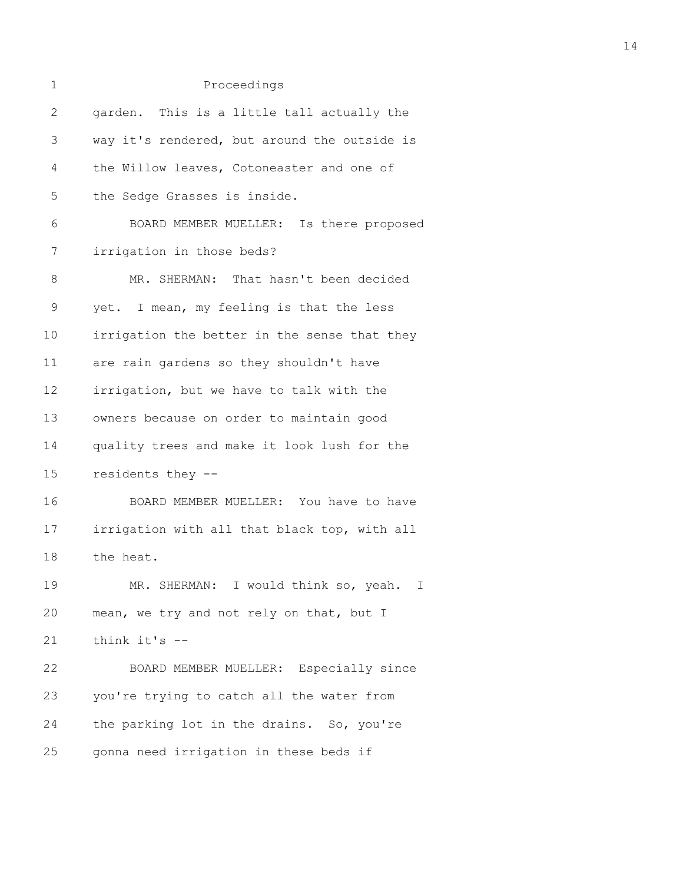| 1               | Proceedings                                  |
|-----------------|----------------------------------------------|
| $\mathbf{2}$    | garden. This is a little tall actually the   |
| 3               | way it's rendered, but around the outside is |
| 4               | the Willow leaves, Cotoneaster and one of    |
| 5               | the Sedge Grasses is inside.                 |
| 6               | BOARD MEMBER MUELLER: Is there proposed      |
| 7               | irrigation in those beds?                    |
| 8               | MR. SHERMAN: That hasn't been decided        |
| $\mathsf 9$     | yet. I mean, my feeling is that the less     |
| 10              | irrigation the better in the sense that they |
| 11              | are rain gardens so they shouldn't have      |
| 12 <sup>°</sup> | irrigation, but we have to talk with the     |
| 13              | owners because on order to maintain good     |
| 14              | quality trees and make it look lush for the  |
| 15              | residents they --                            |
| 16              | BOARD MEMBER MUELLER: You have to have       |
| 17              | irrigation with all that black top, with all |
| 18              | the heat.                                    |
| 19              | MR. SHERMAN: I would think so, yeah.<br>I.   |
| 20              | mean, we try and not rely on that, but I     |
| 21              | think it's --                                |
| 22              | BOARD MEMBER MUELLER: Especially since       |
| 23              | you're trying to catch all the water from    |
| 24              | the parking lot in the drains. So, you're    |
| 25              | gonna need irrigation in these beds if       |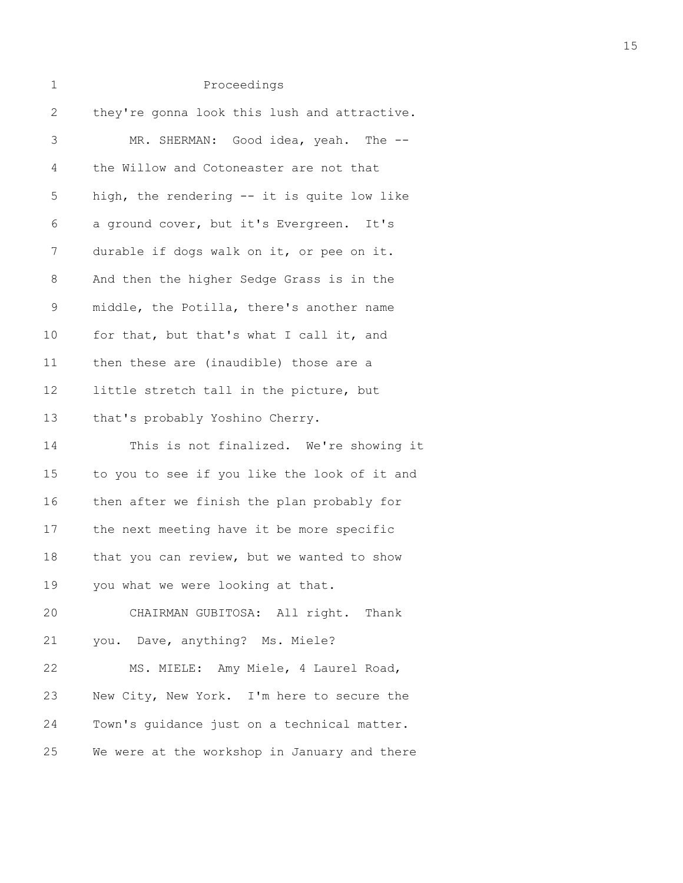| 1            | Proceedings                                  |
|--------------|----------------------------------------------|
| $\mathbf{2}$ | they're gonna look this lush and attractive. |
| 3            | MR. SHERMAN: Good idea, yeah. The --         |
| 4            | the Willow and Cotoneaster are not that      |
| 5            | high, the rendering -- it is quite low like  |
| 6            | a ground cover, but it's Evergreen. It's     |
| 7            | durable if dogs walk on it, or pee on it.    |
| $\,8\,$      | And then the higher Sedge Grass is in the    |
| $\mathsf 9$  | middle, the Potilla, there's another name    |
| 10           | for that, but that's what I call it, and     |
| 11           | then these are (inaudible) those are a       |
| 12           | little stretch tall in the picture, but      |
| 13           | that's probably Yoshino Cherry.              |
| 14           | This is not finalized. We're showing it      |
| 15           | to you to see if you like the look of it and |
| 16           | then after we finish the plan probably for   |
| 17           | the next meeting have it be more specific    |
| 18           | that you can review, but we wanted to show   |
| 19           | you what we were looking at that.            |
| 20           | CHAIRMAN GUBITOSA: All right. Thank          |
| 21           | you. Dave, anything? Ms. Miele?              |
| 22           | MS. MIELE: Amy Miele, 4 Laurel Road,         |
| 23           | New City, New York. I'm here to secure the   |
| 24           | Town's guidance just on a technical matter.  |
| 25           | We were at the workshop in January and there |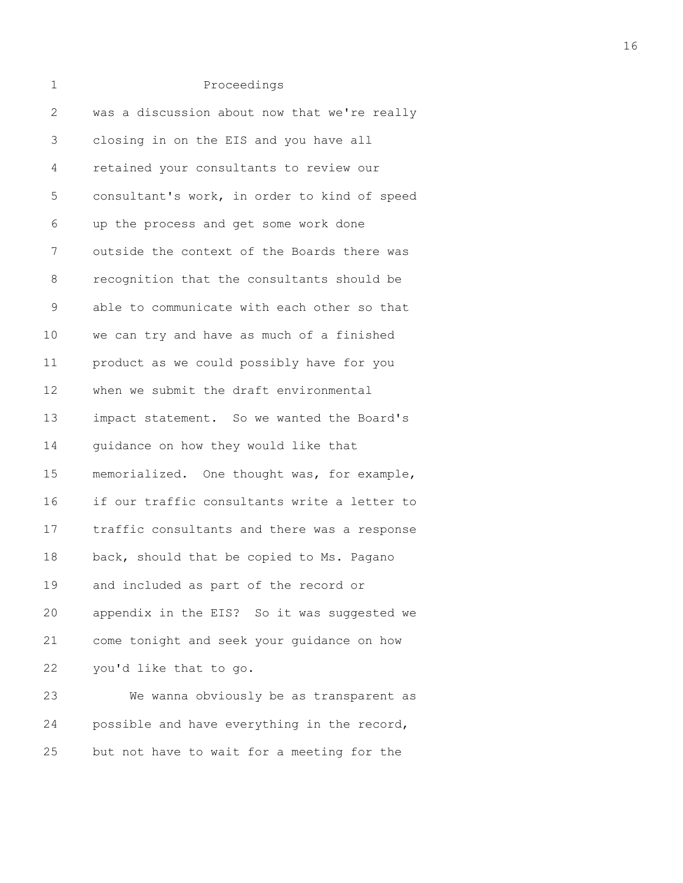| 1            | Proceedings                                  |
|--------------|----------------------------------------------|
| $\mathbf{2}$ | was a discussion about now that we're really |
| 3            | closing in on the EIS and you have all       |
| 4            | retained your consultants to review our      |
| 5            | consultant's work, in order to kind of speed |
| 6            | up the process and get some work done        |
| 7            | outside the context of the Boards there was  |
| 8            | recognition that the consultants should be   |
| 9            | able to communicate with each other so that  |
| 10           | we can try and have as much of a finished    |
| 11           | product as we could possibly have for you    |
| 12           | when we submit the draft environmental       |
| 13           | impact statement. So we wanted the Board's   |
| 14           | quidance on how they would like that         |
| 15           | memorialized. One thought was, for example,  |
| 16           | if our traffic consultants write a letter to |
| 17           | traffic consultants and there was a response |
| 18           | back, should that be copied to Ms. Pagano    |
| 19           | and included as part of the record or        |
| 20           | appendix in the EIS? So it was suggested we  |
| 21           | come tonight and seek your guidance on how   |
| 22           | you'd like that to go.                       |
| 23           | We wanna obviously be as transparent as      |
| 24           | possible and have everything in the record,  |
| 25           | but not have to wait for a meeting for the   |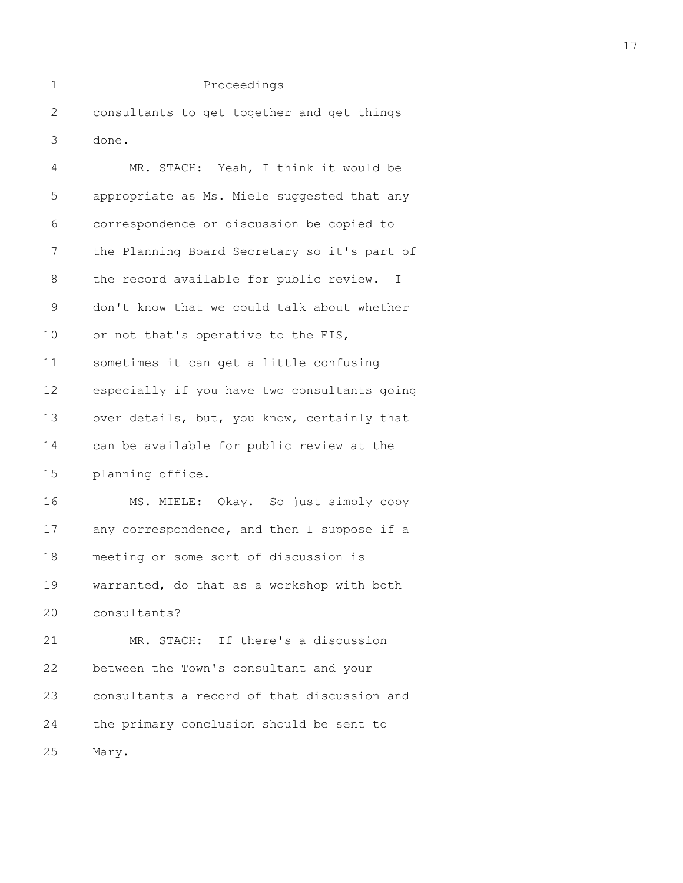1 Proceedings 2 consultants to get together and get things 3 done. 4 MR. STACH: Yeah, I think it would be

| 5  | appropriate as Ms. Miele suggested that any  |
|----|----------------------------------------------|
| 6  | correspondence or discussion be copied to    |
| 7  | the Planning Board Secretary so it's part of |
| 8  | the record available for public review. I    |
| 9  | don't know that we could talk about whether  |
| 10 | or not that's operative to the EIS,          |
| 11 | sometimes it can get a little confusing      |
| 12 | especially if you have two consultants going |
| 13 | over details, but, you know, certainly that  |
| 14 | can be available for public review at the    |
| 15 | planning office.                             |
| 16 | MS. MIELE: Okay. So just simply copy         |
| 17 | any correspondence, and then I suppose if a  |
| 18 | meeting or some sort of discussion is        |
| 19 | warranted, do that as a workshop with both   |
| 20 | consultants?                                 |
| 21 | MR. STACH: If there's a discussion           |
| 22 | between the Town's consultant and your       |
| 23 | consultants a record of that discussion and  |
| 24 | the primary conclusion should be sent to     |

25 Mary.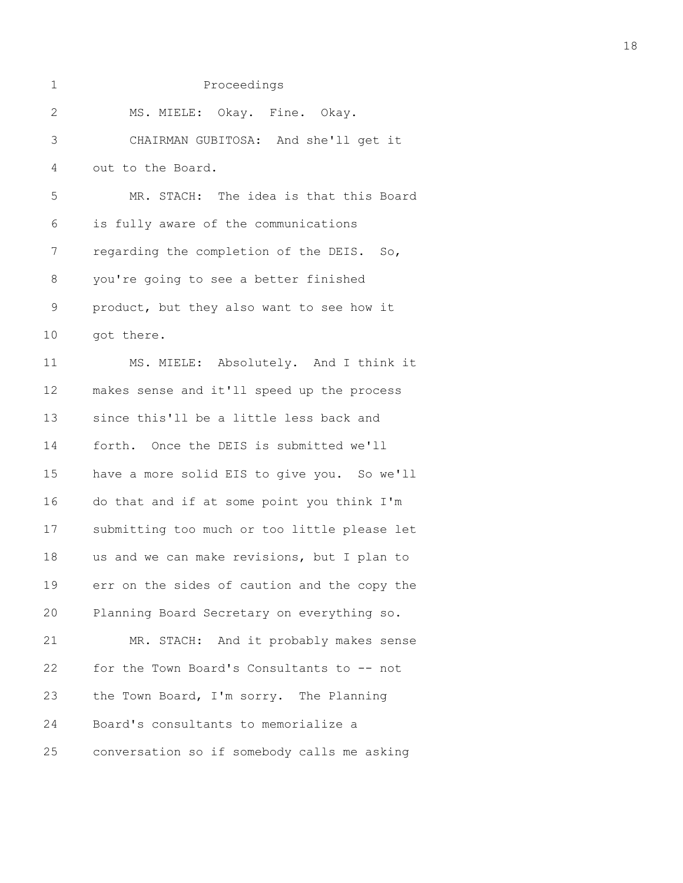| $\mathbf 1$    | Proceedings                                  |
|----------------|----------------------------------------------|
| 2              | MS. MIELE: Okay. Fine. Okay.                 |
| $\mathfrak{Z}$ | CHAIRMAN GUBITOSA: And she'll get it         |
| 4              | out to the Board.                            |
| 5              | MR. STACH: The idea is that this Board       |
| 6              | is fully aware of the communications         |
| 7              | regarding the completion of the DEIS. So,    |
| $\,8\,$        | you're going to see a better finished        |
| $\mathsf 9$    | product, but they also want to see how it    |
| 10             | got there.                                   |
| 11             | MS. MIELE: Absolutely. And I think it        |
| 12             | makes sense and it'll speed up the process   |
| 13             | since this'll be a little less back and      |
| 14             | forth. Once the DEIS is submitted we'll      |
| 15             | have a more solid EIS to give you. So we'll  |
| 16             | do that and if at some point you think I'm   |
| 17             | submitting too much or too little please let |
| 18             | us and we can make revisions, but I plan to  |
| 19             | err on the sides of caution and the copy the |
| 20             | Planning Board Secretary on everything so.   |
| 21             | MR. STACH: And it probably makes sense       |
| 22             | for the Town Board's Consultants to -- not   |
| 23             | the Town Board, I'm sorry. The Planning      |
| 24             | Board's consultants to memorialize a         |
| 25             | conversation so if somebody calls me asking  |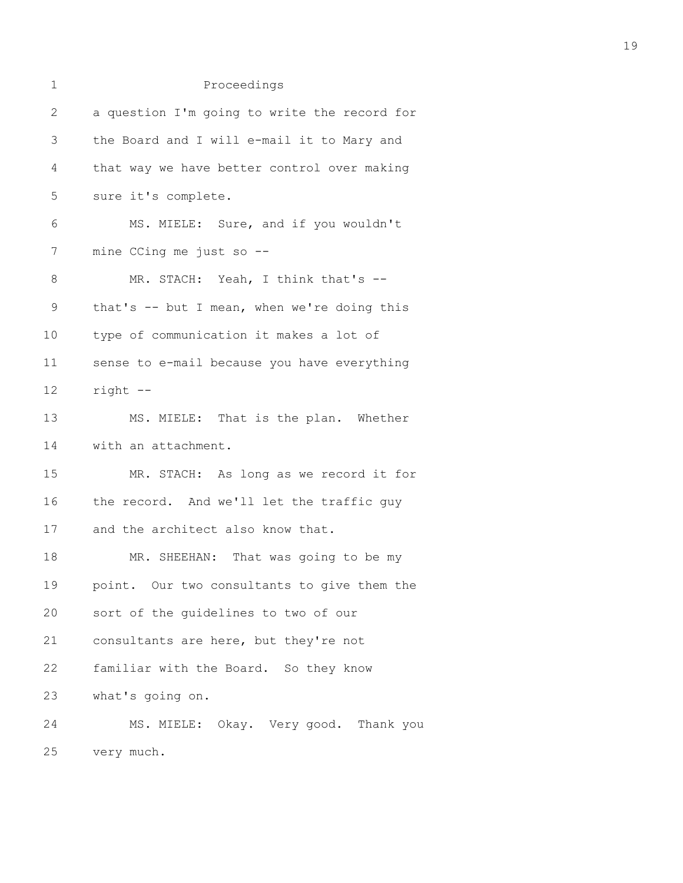| 1            | Proceedings                                  |
|--------------|----------------------------------------------|
| $\mathbf{2}$ | a question I'm going to write the record for |
| 3            | the Board and I will e-mail it to Mary and   |
| 4            | that way we have better control over making  |
| 5            | sure it's complete.                          |
| 6            | MS. MIELE: Sure, and if you wouldn't         |
| 7            | mine CCing me just so $-$ -                  |
| 8            | MR. STACH: Yeah, I think that's --           |
| $\mathsf 9$  | that's -- but I mean, when we're doing this  |
| 10           | type of communication it makes a lot of      |
| 11           | sense to e-mail because you have everything  |
| 12           | right --                                     |
| 13           | MS. MIELE: That is the plan. Whether         |
| 14           | with an attachment.                          |
| 15           | MR. STACH: As long as we record it for       |
| 16           | the record. And we'll let the traffic guy    |
| 17           | and the architect also know that.            |
| 18           | MR. SHEEHAN: That was going to be my         |
| 19           | point. Our two consultants to give them the  |
| 20           | sort of the guidelines to two of our         |
| 21           | consultants are here, but they're not        |
| 22           | familiar with the Board. So they know        |
| 23           | what's going on.                             |
| 24           | MS. MIELE: Okay. Very good. Thank you        |
| 25           | very much.                                   |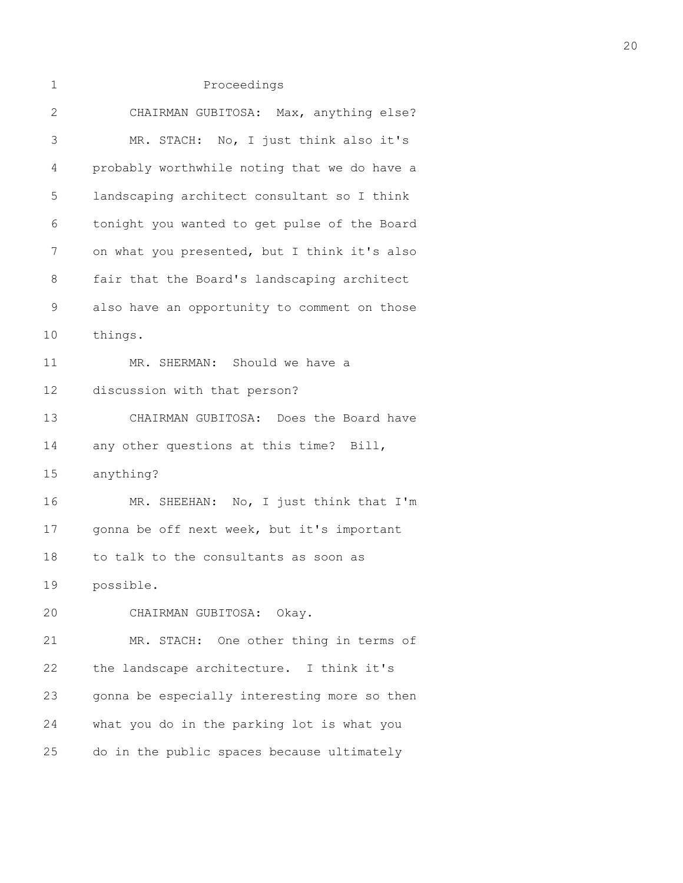| 1            | Proceedings                                  |
|--------------|----------------------------------------------|
| $\mathbf{2}$ | CHAIRMAN GUBITOSA: Max, anything else?       |
| 3            | MR. STACH: No, I just think also it's        |
| 4            | probably worthwhile noting that we do have a |
| 5            | landscaping architect consultant so I think  |
| 6            | tonight you wanted to get pulse of the Board |
| 7            | on what you presented, but I think it's also |
| 8            | fair that the Board's landscaping architect  |
| $\mathsf 9$  | also have an opportunity to comment on those |
| 10           | things.                                      |
| 11           | MR. SHERMAN: Should we have a                |
| 12           | discussion with that person?                 |
| 13           | CHAIRMAN GUBITOSA: Does the Board have       |
| 14           | any other questions at this time? Bill,      |
| 15           | anything?                                    |
| 16           | MR. SHEEHAN: No, I just think that I'm       |
| 17           | gonna be off next week, but it's important   |
| 18           | to talk to the consultants as soon as        |
| 19           | possible.                                    |
| 20           | CHAIRMAN GUBITOSA: Okay.                     |
| 21           | MR. STACH: One other thing in terms of       |
| 22           | the landscape architecture. I think it's     |
| 23           | gonna be especially interesting more so then |
| 24           | what you do in the parking lot is what you   |
| 25           | do in the public spaces because ultimately   |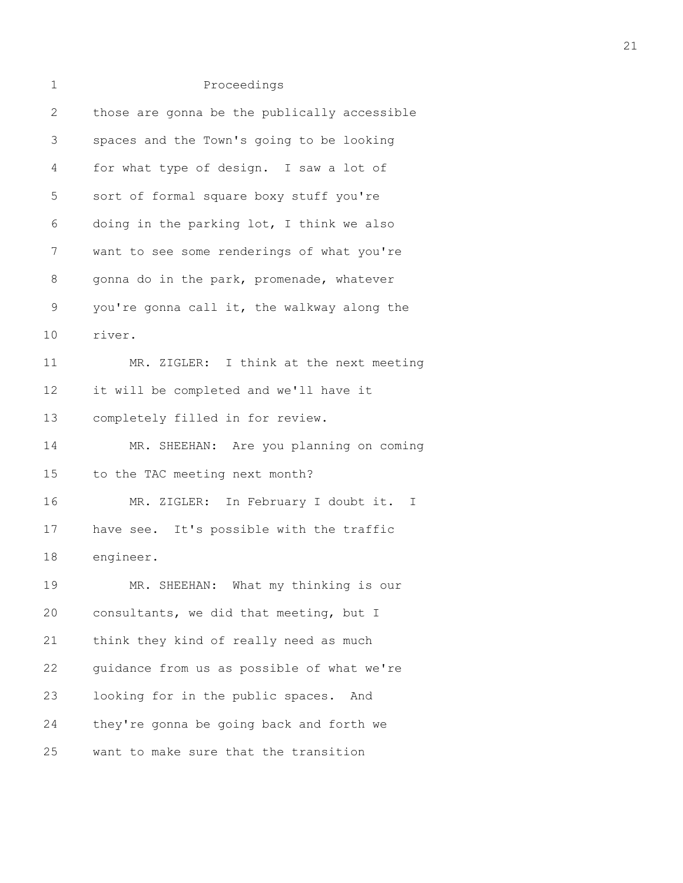| 1             | Proceedings                                  |
|---------------|----------------------------------------------|
| 2             | those are gonna be the publically accessible |
| 3             | spaces and the Town's going to be looking    |
| 4             | for what type of design. I saw a lot of      |
| 5             | sort of formal square boxy stuff you're      |
| 6             | doing in the parking lot, I think we also    |
| 7             | want to see some renderings of what you're   |
| 8             | gonna do in the park, promenade, whatever    |
| $\mathcal{G}$ | you're gonna call it, the walkway along the  |
| 10            | river.                                       |
| 11            | MR. ZIGLER: I think at the next meeting      |
| 12            | it will be completed and we'll have it       |
| 13            | completely filled in for review.             |
| 14            | MR. SHEEHAN: Are you planning on coming      |
| 15            | to the TAC meeting next month?               |
| 16            | MR. ZIGLER: In February I doubt it. I        |
| 17            | have see. It's possible with the traffic     |
| 18            | engineer.                                    |
| 19            | MR. SHEEHAN: What my thinking is our         |
| 20            | consultants, we did that meeting, but I      |
| 21            | think they kind of really need as much       |
| 22            | quidance from us as possible of what we're   |
| 23            | looking for in the public spaces. And        |
| 24            | they're gonna be going back and forth we     |
| 25            | want to make sure that the transition        |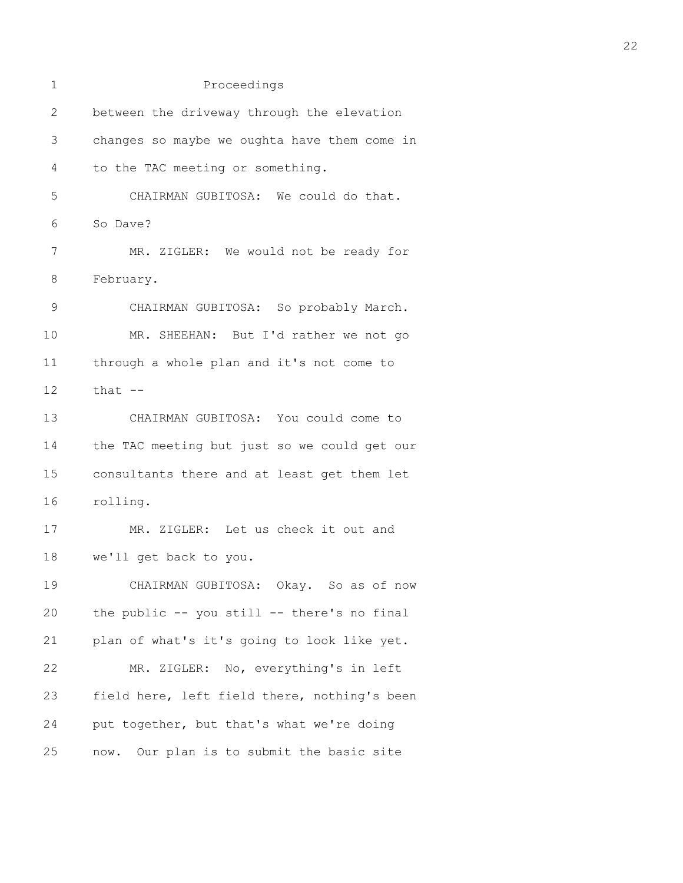| 1             | Proceedings                                  |
|---------------|----------------------------------------------|
| $\mathbf{2}$  | between the driveway through the elevation   |
| 3             | changes so maybe we oughta have them come in |
| 4             | to the TAC meeting or something.             |
| 5             | CHAIRMAN GUBITOSA: We could do that.         |
| 6             | So Dave?                                     |
| 7             | MR. ZIGLER: We would not be ready for        |
| 8             | February.                                    |
| $\mathcal{G}$ | CHAIRMAN GUBITOSA: So probably March.        |
| 10            | MR. SHEEHAN: But I'd rather we not go        |
| 11            | through a whole plan and it's not come to    |
| 12            | that $--$                                    |
| 13            | CHAIRMAN GUBITOSA: You could come to         |
| 14            | the TAC meeting but just so we could get our |
| 15            | consultants there and at least get them let  |
| 16            | rolling.                                     |
| 17            | MR. ZIGLER: Let us check it out and          |
| 18            | we'll get back to you.                       |
| 19            | CHAIRMAN GUBITOSA: Okay. So as of now        |
| 20            | the public -- you still -- there's no final  |
| 21            | plan of what's it's going to look like yet.  |
| 22            | MR. ZIGLER: No, everything's in left         |
| 23            | field here, left field there, nothing's been |
| 24            | put together, but that's what we're doing    |
| 25            | now. Our plan is to submit the basic site    |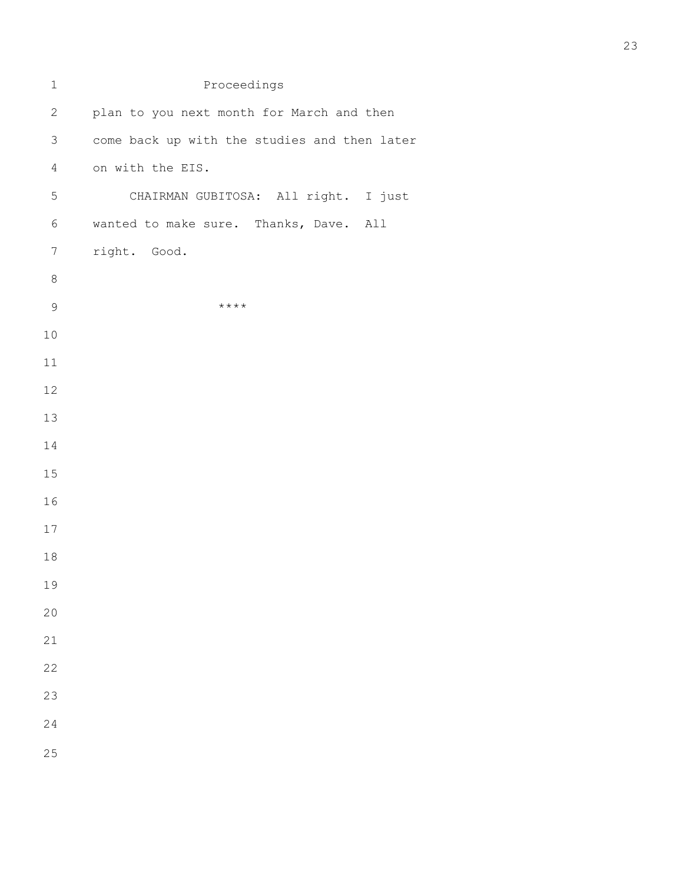| $\mathbf 1$      | Proceedings                                  |
|------------------|----------------------------------------------|
| $\sqrt{2}$       | plan to you next month for March and then    |
| $\mathfrak{Z}$   | come back up with the studies and then later |
| $\overline{4}$   | on with the EIS.                             |
| 5                | CHAIRMAN GUBITOSA: All right. I just         |
| $\epsilon$       | wanted to make sure. Thanks, Dave. All       |
| $\boldsymbol{7}$ | right. Good.                                 |
| $\,8\,$          |                                              |
| $\mathcal{G}$    | $***$ *                                      |
| $10$             |                                              |
| $11\,$           |                                              |
| 12               |                                              |
| 13               |                                              |
| 14               |                                              |
| 15               |                                              |
| 16               |                                              |
| 17               |                                              |
| $18\,$           |                                              |
| 19               |                                              |
| 20               |                                              |
| 21               |                                              |
| 22               |                                              |
| 23               |                                              |
| 24               |                                              |
| 25               |                                              |